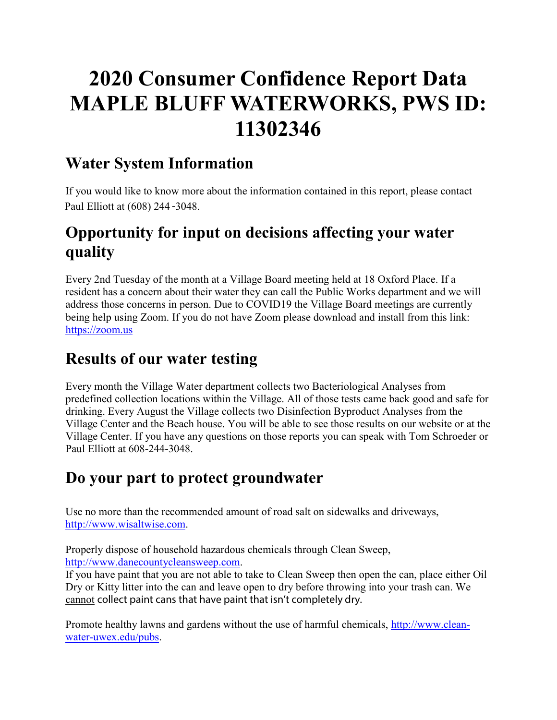# **2020 Consumer Confidence Report Data MAPLE BLUFF WATERWORKS, PWS ID: 11302346**

# **Water System Information**

If you would like to know more about the information contained in this report, please contact Paul Elliott at (608) 244 -3048.

# **Opportunity for input on decisions affecting your water quality**

Every 2nd Tuesday of the month at a Village Board meeting held at 18 Oxford Place. If a resident has a concern about their water they can call the Public Works department and we will address those concerns in person. Due to COVID19 the Village Board meetings are currently being help using Zoom. If you do not have Zoom please download and install from this link: [https://zoom.us](https://zoom.us/)

# **Results of our water testing**

Every month the Village Water department collects two Bacteriological Analyses from predefined collection locations within the Village. All of those tests came back good and safe for drinking. Every August the Village collects two Disinfection Byproduct Analyses from the Village Center and the Beach house. You will be able to see those results on our website or at the Village Center. If you have any questions on those reports you can speak with Tom Schroeder or Paul Elliott at 608-244-3048.

# **Do your part to protect groundwater**

Use no more than the recommended amount of road salt on sidewalks and driveways, [http://www.wisaltwise.com.](http://www.wisaltwise.com/)

Properly dispose of household hazardous chemicals through Clean Sweep, [http://www.danecountycleansweep.com.](http://www.danecountycleansweep.com/)

If you have paint that you are not able to take to Clean Sweep then open the can, place either Oil Dry or Kitty litter into the can and leave open to dry before throwing into your trash can. We cannot collect paint cans that have paint that isn't completely dry.

Promote healthy lawns and gardens without the use of harmful chemicals, [http://www.clean](http://www.clean-water-uwex.edu/pubs)[water-uwex.edu/pubs.](http://www.clean-water-uwex.edu/pubs)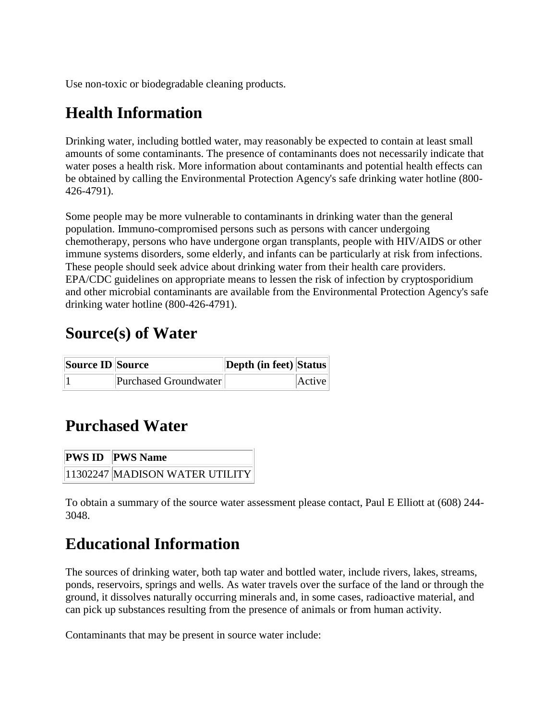Use non-toxic or biodegradable cleaning products.

# **Health Information**

Drinking water, including bottled water, may reasonably be expected to contain at least small amounts of some contaminants. The presence of contaminants does not necessarily indicate that water poses a health risk. More information about contaminants and potential health effects can be obtained by calling the Environmental Protection Agency's safe drinking water hotline (800- 426-4791).

Some people may be more vulnerable to contaminants in drinking water than the general population. Immuno-compromised persons such as persons with cancer undergoing chemotherapy, persons who have undergone organ transplants, people with HIV/AIDS or other immune systems disorders, some elderly, and infants can be particularly at risk from infections. These people should seek advice about drinking water from their health care providers. EPA/CDC guidelines on appropriate means to lessen the risk of infection by cryptosporidium and other microbial contaminants are available from the Environmental Protection Agency's safe drinking water hotline (800-426-4791).

### **Source(s) of Water**

| <b>Source ID Source</b> |                       | <b>Depth (in feet) Status</b> |        |
|-------------------------|-----------------------|-------------------------------|--------|
|                         | Purchased Groundwater |                               | Active |

# **Purchased Water**

| <b>PWS ID PWS Name</b>         |
|--------------------------------|
| 11302247 MADISON WATER UTILITY |

To obtain a summary of the source water assessment please contact, Paul E Elliott at (608) 244- 3048.

# **Educational Information**

The sources of drinking water, both tap water and bottled water, include rivers, lakes, streams, ponds, reservoirs, springs and wells. As water travels over the surface of the land or through the ground, it dissolves naturally occurring minerals and, in some cases, radioactive material, and can pick up substances resulting from the presence of animals or from human activity.

Contaminants that may be present in source water include: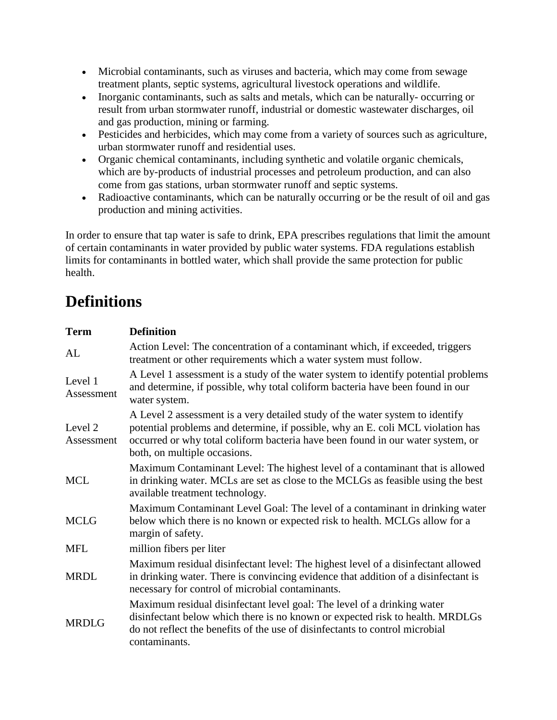- Microbial contaminants, such as viruses and bacteria, which may come from sewage treatment plants, septic systems, agricultural livestock operations and wildlife.
- Inorganic contaminants, such as salts and metals, which can be naturally- occurring or result from urban stormwater runoff, industrial or domestic wastewater discharges, oil and gas production, mining or farming.
- Pesticides and herbicides, which may come from a variety of sources such as agriculture, urban stormwater runoff and residential uses.
- Organic chemical contaminants, including synthetic and volatile organic chemicals, which are by-products of industrial processes and petroleum production, and can also come from gas stations, urban stormwater runoff and septic systems.
- Radioactive contaminants, which can be naturally occurring or be the result of oil and gas production and mining activities.

In order to ensure that tap water is safe to drink, EPA prescribes regulations that limit the amount of certain contaminants in water provided by public water systems. FDA regulations establish limits for contaminants in bottled water, which shall provide the same protection for public health.

# **Definitions**

| <b>Term</b>           | <b>Definition</b>                                                                                                                                                                                                                                                                   |
|-----------------------|-------------------------------------------------------------------------------------------------------------------------------------------------------------------------------------------------------------------------------------------------------------------------------------|
| AL                    | Action Level: The concentration of a contaminant which, if exceeded, triggers<br>treatment or other requirements which a water system must follow.                                                                                                                                  |
| Level 1<br>Assessment | A Level 1 assessment is a study of the water system to identify potential problems<br>and determine, if possible, why total coliform bacteria have been found in our<br>water system.                                                                                               |
| Level 2<br>Assessment | A Level 2 assessment is a very detailed study of the water system to identify<br>potential problems and determine, if possible, why an E. coli MCL violation has<br>occurred or why total coliform bacteria have been found in our water system, or<br>both, on multiple occasions. |
| <b>MCL</b>            | Maximum Contaminant Level: The highest level of a contaminant that is allowed<br>in drinking water. MCLs are set as close to the MCLGs as feasible using the best<br>available treatment technology.                                                                                |
| <b>MCLG</b>           | Maximum Contaminant Level Goal: The level of a contaminant in drinking water<br>below which there is no known or expected risk to health. MCLGs allow for a<br>margin of safety.                                                                                                    |
| <b>MFL</b>            | million fibers per liter                                                                                                                                                                                                                                                            |
| <b>MRDL</b>           | Maximum residual disinfectant level: The highest level of a disinfectant allowed<br>in drinking water. There is convincing evidence that addition of a disinfectant is<br>necessary for control of microbial contaminants.                                                          |
| <b>MRDLG</b>          | Maximum residual disinfectant level goal: The level of a drinking water<br>disinfectant below which there is no known or expected risk to health. MRDLGs<br>do not reflect the benefits of the use of disinfectants to control microbial<br>contaminants.                           |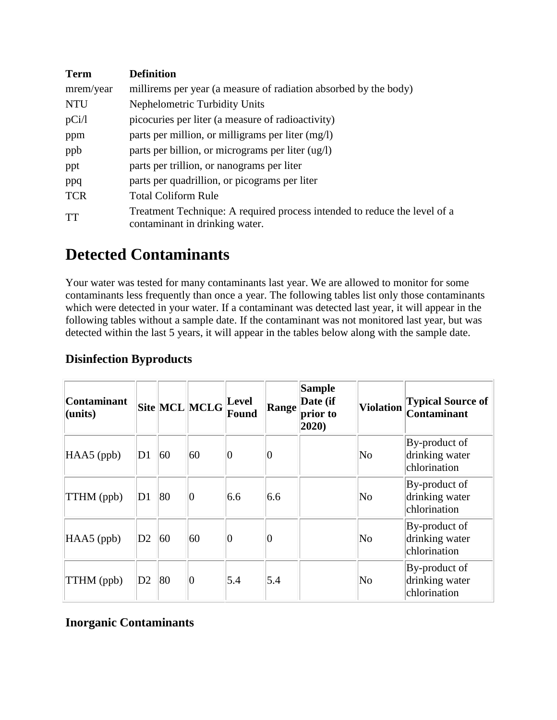| <b>Term</b> | <b>Definition</b>                                                                                           |
|-------------|-------------------------------------------------------------------------------------------------------------|
| mrem/year   | millirems per year (a measure of radiation absorbed by the body)                                            |
| <b>NTU</b>  | Nephelometric Turbidity Units                                                                               |
| pCi/1       | picocuries per liter (a measure of radioactivity)                                                           |
| ppm         | parts per million, or milligrams per liter (mg/l)                                                           |
| ppb         | parts per billion, or micrograms per liter (ug/l)                                                           |
| ppt         | parts per trillion, or nanograms per liter                                                                  |
| ppq         | parts per quadrillion, or picograms per liter                                                               |
| <b>TCR</b>  | <b>Total Coliform Rule</b>                                                                                  |
| TT          | Treatment Technique: A required process intended to reduce the level of a<br>contaminant in drinking water. |

# **Detected Contaminants**

Your water was tested for many contaminants last year. We are allowed to monitor for some contaminants less frequently than once a year. The following tables list only those contaminants which were detected in your water. If a contaminant was detected last year, it will appear in the following tables without a sample date. If the contaminant was not monitored last year, but was detected within the last 5 years, it will appear in the tables below along with the sample date.

| <b>Contaminant</b><br>(units) |                |    | Site MCL MCLG | <b>Level</b><br>Found | Range | <b>Sample</b><br>Date (if<br>prior to<br>2020) | <b>Violation</b>       | <b>Typical Source of</b><br>Contaminant         |
|-------------------------------|----------------|----|---------------|-----------------------|-------|------------------------------------------------|------------------------|-------------------------------------------------|
| HAA5 (ppb)                    | D1             | 60 | 60            | Ю                     | 0     |                                                | No                     | By-product of<br>drinking water<br>chlorination |
| TTHM (ppb)                    | D1             | 80 | $ 0\rangle$   | 6.6                   | 6.6   |                                                | No                     | By-product of<br>drinking water<br>chlorination |
| HAA5 (ppb)                    | D2             | 60 | 60            | Ю                     | 0     |                                                | No                     | By-product of<br>drinking water<br>chlorination |
| TTHM (ppb)                    | D <sub>2</sub> | 80 | $ 0\>$        | 5.4                   | 5.4   |                                                | $\overline{\text{No}}$ | By-product of<br>drinking water<br>chlorination |

### **Disinfection Byproducts**

### **Inorganic Contaminants**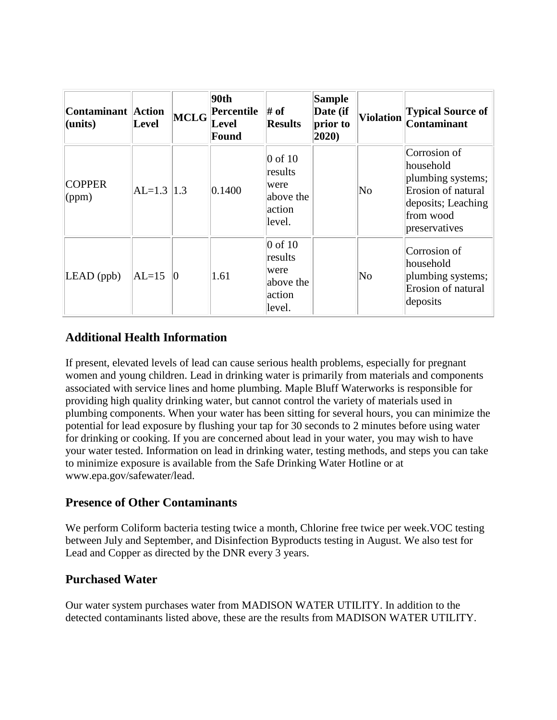| <b>Contaminant Action</b><br>$l$ (units) | Level          | <b>MCLG</b> | 90th<br>Percentile<br>Level<br>Found | # of<br><b>Results</b>                                                  | <b>Sample</b><br>Date (if<br>prior to<br>2020) | <b>Violation</b> | <b>Typical Source of</b><br><b>Contaminant</b>                                                                           |
|------------------------------------------|----------------|-------------|--------------------------------------|-------------------------------------------------------------------------|------------------------------------------------|------------------|--------------------------------------------------------------------------------------------------------------------------|
| <b>COPPER</b><br>(ppm)                   | $AL=1.3$   1.3 |             | 0.1400                               | $ 0 \text{ of } 10$<br>results<br>were<br>above the<br>action<br>level. |                                                | No               | Corrosion of<br>household<br>plumbing systems;<br>Erosion of natural<br>deposits; Leaching<br>from wood<br>preservatives |
| $LEAD$ (ppb)                             | $AL=15$        | $ 0\rangle$ | 1.61                                 | $ 0 \text{ of } 10$<br>results<br>were<br>above the<br>action<br>level. |                                                | No               | Corrosion of<br>lhousehold<br>plumbing systems;<br>Erosion of natural<br>deposits                                        |

### **Additional Health Information**

If present, elevated levels of lead can cause serious health problems, especially for pregnant women and young children. Lead in drinking water is primarily from materials and components associated with service lines and home plumbing. Maple Bluff Waterworks is responsible for providing high quality drinking water, but cannot control the variety of materials used in plumbing components. When your water has been sitting for several hours, you can minimize the potential for lead exposure by flushing your tap for 30 seconds to 2 minutes before using water for drinking or cooking. If you are concerned about lead in your water, you may wish to have your water tested. Information on lead in drinking water, testing methods, and steps you can take to minimize exposure is available from the Safe Drinking Water Hotline or at www.epa.gov/safewater/lead.

#### **Presence of Other Contaminants**

We perform Coliform bacteria testing twice a month, Chlorine free twice per week.VOC testing between July and September, and Disinfection Byproducts testing in August. We also test for Lead and Copper as directed by the DNR every 3 years.

### **Purchased Water**

Our water system purchases water from MADISON WATER UTILITY. In addition to the detected contaminants listed above, these are the results from MADISON WATER UTILITY.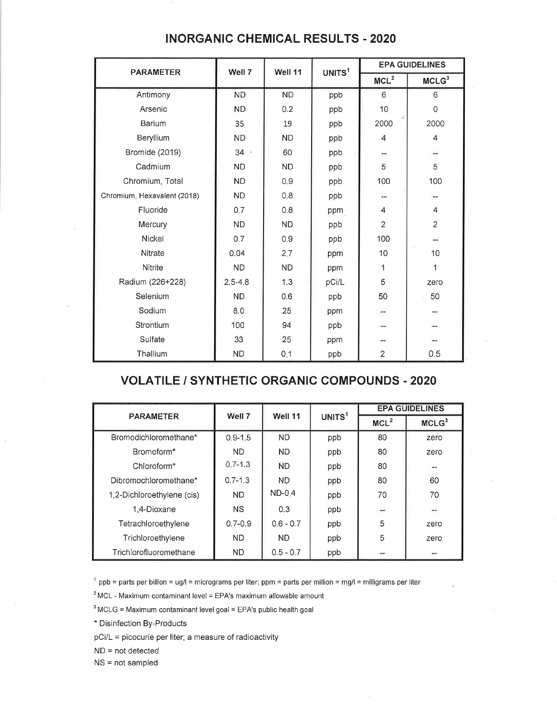| <b>PARAMETER</b>            | Well 7      | Well 11   | UNITS <sup>1</sup> | <b>EPA GUIDELINES</b> |                   |  |  |
|-----------------------------|-------------|-----------|--------------------|-----------------------|-------------------|--|--|
|                             |             |           |                    | MCL <sup>2</sup>      | MCLG <sup>3</sup> |  |  |
| Antimony                    | <b>ND</b>   | <b>ND</b> | ppb                | $6\,$                 | 6                 |  |  |
| Arsenic                     | <b>ND</b>   | 0.2       | ppb                | 10                    | $\Omega$          |  |  |
| <b>Barium</b>               | 35          | 19        | ppb                | 2000                  | 2000              |  |  |
| Beryllium                   | <b>ND</b>   | <b>ND</b> | ppb                | 4                     | 4                 |  |  |
| Bromide (2019)              | $34 -$      | 60        | ppb                | ù.                    | $\frac{1}{2}$     |  |  |
| Cadmium                     | <b>ND</b>   | <b>ND</b> | ppb                | 5                     | 5                 |  |  |
| Chromium, Total             | <b>ND</b>   | 0.9       | ppb                | 100                   | 100               |  |  |
| Chromium, Hexavalent (2018) | <b>ND</b>   | 0,8       | ppb                | Ħ.                    |                   |  |  |
| Fluoride                    | 0.7         | 8:0       | ppm                | 4                     | 4                 |  |  |
| Mercury                     | <b>ND</b>   | <b>ND</b> | ppb                | $\overline{2}$        | $\overline{2}$    |  |  |
| Nickel                      | 0.7         | 0.9       | ppb                | 100                   | $\rightarrow$     |  |  |
| Nitrate                     | 0.04        | 2,7       | ppm                | 10                    | 10                |  |  |
| Nitrite                     | <b>ND</b>   | <b>ND</b> | ppm                | 1                     | 1                 |  |  |
| Radium (226+228)            | $2.5 - 4.8$ | 1.3       | pCi/L              | 5                     | zero              |  |  |
| Selenium                    | <b>ND</b>   | 0.6       | ppb                | 50                    | 50                |  |  |
| Sodium                      | 8.0         | 25        | ppm                | $\cdots$              | m.                |  |  |
| Strontium                   | 100         | 94        | ppb                | ⊶                     |                   |  |  |
| Sulfate                     | 33          | 25        | ppm                | $***$                 |                   |  |  |
| Thallium                    | <b>ND</b>   | 0.1       | ppb                | $\overline{c}$        | 0.5               |  |  |

#### **INORGANIC CHEMICAL RESULTS - 2020**

#### **VOLATILE / SYNTHETIC ORGANIC COMPOUNDS - 2020**

|                            |             |             |                    | <b>EPA GUIDELINES</b>    |                          |  |  |
|----------------------------|-------------|-------------|--------------------|--------------------------|--------------------------|--|--|
| <b>PARAMETER</b>           | Well 7      | Well 11     | UNITS <sup>1</sup> | MCL <sup>2</sup>         | MCLG <sup>3</sup>        |  |  |
| Bromodichloromethane*      | $0.9 - 1.5$ | <b>ND</b>   | ppb                | 80                       | zero                     |  |  |
| Bromoform*                 | <b>ND</b>   | <b>ND</b>   | ppb                | 80                       | zero                     |  |  |
| Chloroform <sup>*</sup>    | $0.7 - 1.3$ | <b>ND</b>   | ppb                | 80                       | 22                       |  |  |
| Dibromochloromethane*      | $0.7 - 1.3$ | ND.         | ppb                | 80                       | 60                       |  |  |
| 1,2-Dichloroethylene (cis) | ND.         | $ND-0.4$    | ppb                | 70                       | 70                       |  |  |
| 1,4-Dioxane                | <b>NS</b>   | 0.3         | ppb                | $\overline{\phantom{a}}$ | $\overline{\phantom{a}}$ |  |  |
| Tetrachloroethylene        | $0.7 - 0.9$ | $0.6 - 0.7$ | ppb                | 5                        | zero                     |  |  |
| Trichloroethylene          | ND.         | <b>ND</b>   | ppb                | 5                        | zero                     |  |  |
| Trichlorofluoromethane     | ND.         | $0.5 - 0.7$ | ppb                | $-$                      | $-$                      |  |  |

 $1$  ppb = parts per billion = ug/l = micrograms per liter; ppm = parts per million = mg/l = milligrams per liter

 $2$  MCL - Maximum contaminant level = EPA's maximum allowable amount

 $3$  MCLG = Maximum contaminant level goal = EPA's public health goal

\* Disinfection By-Products

pCi/L = picocurie per liter; a measure of radioactivity

 $ND = not detected$ 

 $NS = not sampled$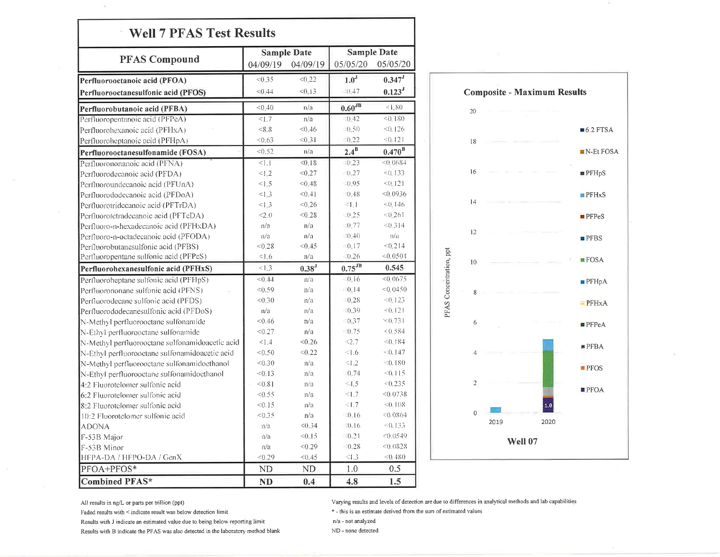| <b>PFAS Compound</b>                            |            | <b>Sample Date</b> | <b>Sample Date</b>   |                      |  |
|-------------------------------------------------|------------|--------------------|----------------------|----------------------|--|
|                                                 | 04/09/19   | 04/09/19           | 05/05/20             | 05/05/20             |  |
| Perfluorooctanoic acid (PFOA)                   | < 0.35     | < 0.22             | $\overline{1.0}^{J}$ | $0.347$ <sup>J</sup> |  |
| Perfluorooctanesulfonic acid (PFOS)             | < 0.44     | < 0.13             | $-30.47$             | $0.123$ <sup>J</sup> |  |
| Perfluorobutanoic acid (PFBA)                   | < 0.40     | n/a                | $0.60$ <sup>JB</sup> | < 1.80               |  |
| Perfluoropentanoic acid (PFPeA)                 | <1.7       | n/a                | (0.42)               | < 0.180              |  |
| Perfluorohexanoic acid (PFHxA)                  | < 8.8      | < 0.46             | $-0.50$              | $<0$ -126            |  |
| Perfluoroheptanoic acid (PFHpA)                 | < 0.63     | < 0.31             | $-0.22$              | <0.121               |  |
| Perfluorooctanesulfonamide (FOSA)               | < 0.52     | n/a                | $2.4^B$              | $0.470^{\rm B}$      |  |
| Perfluorononanoic acid (PFNA)                   | <1.1       | < 0.18             | (0.23)               | <0.0684              |  |
| Perfluorodecanoic acid (PFDA)                   | <1.2       | < 0.27             | $-0.27$              | < 0.133              |  |
| Perfluoroundecanoic acid (PFUnA)                | <1.5       | < 0.48             | $-0.95$              | < 0.121              |  |
| Perfluorododecanoic acid (PFDoA)                | <1.3       | < 0.41             | (0.48)               | < 0.0936             |  |
| Perfluorotridecanoic acid (PFTrDA)              | <1.3       | < 0.26             | $\leq 1.1$           | < 0.146              |  |
| Perfluorotetradecanoic acid (PFTeDA)            | <2.0       | < 0.28             | $-0.25$              | < 0.261              |  |
| Perfluoro-n-hexadecanoic acid (PFHxDA)          | n/a        | n/a                | $= 0.77$             | < 0.314              |  |
| Perfluoro-n-octadecanoic acid (PFODA)           | n/a        | n/a                | $-(0, 40)$           | n/a                  |  |
| Perfluorobutanesulfonic acid (PFBS)             | < 0.28     | < 0.45             | $= 0.17$             | < 0.214              |  |
| Perfluoropentane sulfonic acid (PFPeS)          | $\leq$ 1.6 | n/a                | $-0.26$              | < 0.0504             |  |
| Perfluorohexanesulfonic acid (PFHxS)            | <1.3       | $0.38^{J}$         | $0.75$ <sup>JB</sup> | 0.545                |  |
| Perfluoroheptane sulfonic acid (PFHpS)          | < 0.44     | n/a                | $= 0.16$             | < 0.0675             |  |
| Perfluorononane sulfonic acid (PFNS)            | 59         | n/a                | $-0.14$              | < 0.0450             |  |
| Perfluorodecane sulfonic acid (PFDS)            | < 0.30     | n/a                | $-0.28$              | < 0.123              |  |
| Perfluorododecanesulfonic acid (PFDoS)          | n/a        | n/a                | (0.39)               | ${}< 0.121$          |  |
| N-Methyl perfluorooctane sulfonamide            | < 0.46     | n/a                | $-0.37$              | < 0.731              |  |
| N-Ethyl perfluorooctane sulfonamide             | < 0.27     | n/a                | $-0.75$              | (0.584)              |  |
| N-Methyl perfluorooctane sulfonamidoacetic acid | <1.4       | < 0.26             | <2.7                 | < 0.184              |  |
| N-Ethyl perfluorooctane sulfonamidoacetic acid  | < 0.50     | < 0.22             | 1.6                  | (0.147)              |  |
| N-Methyl perfluorooctane sulfonamidoethanol     | < 0.30     | n/a                | <1.2                 | < 0.180              |  |
| N-Ethyl perfluorooctane sulfonamidoethanol      | < 0.13     | n/a                | $-0.74$              | < 0.115              |  |
| 4:2 Fluorotelomer sulfonic acid                 | < 0.81     | n/a                | 4.5                  | < 0.235              |  |
| 6:2 Fluorotelomer sulfonic acid                 | < 0.55     | n/a                | 1.7                  | < 0.0738             |  |
| 8:2 Fluorotelomer sulfonic acid                 | < 0.15     | n/a                | $\leq 1.7$           | < 0.108              |  |
| 10:2 Fluorotelomer sulfonic acid                | < 0.35     | n/a                | $-0.16$              | < 0.0864             |  |
| <b>ADONA</b>                                    | n/a        | < 0.34             | $-30.16$             | &0.133               |  |
| F-53B Major                                     | a/a        | < 0.15             | $-0.21$              | < 0.0549             |  |
| F-53B Minor                                     | n/a        | <0.29              | $-0.28$              | < 0.0828             |  |
| HFPA-DA / HFPO-DA / GenX                        | <0.29      | < 0.45             | <1.3                 | < 0.480              |  |
| PFOA+PFOS*                                      | ND         | ND                 | 1.0                  | 0.5                  |  |
| <b>Combined PFAS*</b>                           | ND         | 0.4                | 4.8                  | 1.5                  |  |



All results in ng/L or parts per trillion (ppt)

Faded results with  $\leq$  indicate result was below detection limit

Results with J indicate an estimated value due to being below reporting limit

Results with B indicate the PFAS was also detected in the laboratory method blank

Varying results and levels of detection are due to differences in analytical methods and lab capabilities

\* - this is an estimate derived from the sum of estimated values

 $\mathsf{n}/\mathsf{a}$  -  $\mathsf{n}$ ot analyzed

ND - none detected